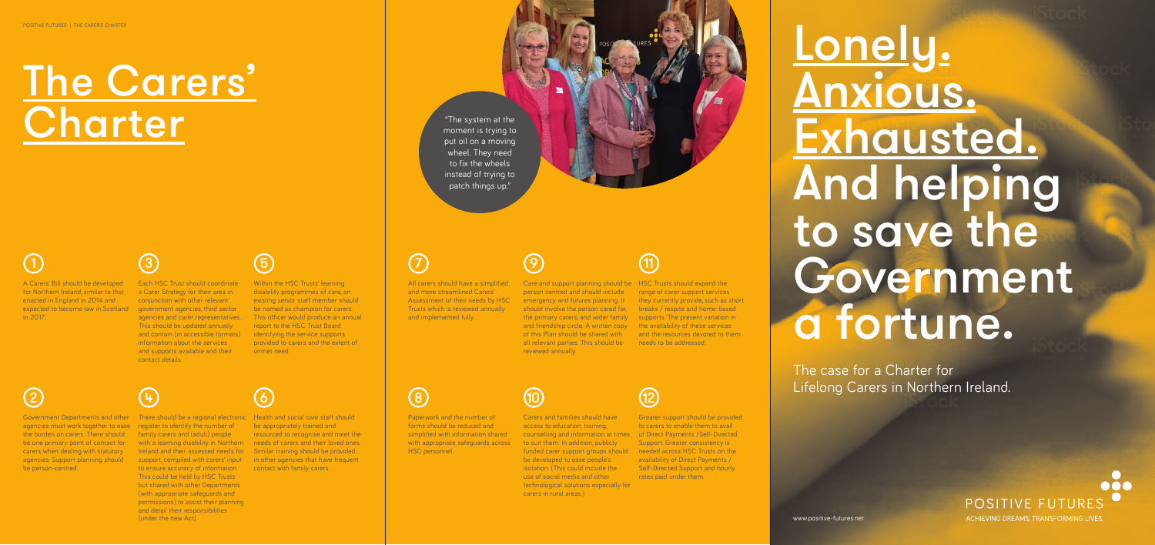Lonely. Anxious. Exhausted. And helping to save the Government a fortune.

## A Carers' Bill should be developed for Northern Ireland, similar to that 1  $\qquad \qquad \textbf{(3)}$   $\qquad \qquad \textbf{(5)}$   $\qquad \qquad \textbf{(7)}$

The case for a Charter for Lifelong Carers in Northern Ireland.



www.positive-futures.net

enacted in England in 2014 and

in 2017.

2 (4) (6

All carers should have a simplified and more streamlined Carers' Assessment of their needs by HSC Trusts which is reviewed annually and implemented fully.

be one primary point of contact for carers when dealing with statutory agencies. Support planning should

be person-centred.



expected to become law in Scotland government agencies, third sector **Each HSC Trust should coordinate** a Carer Strategy for their area in conjunction with other relevant agencies and carer representatives. This should be updated annually and contain (in accessible formats) information about the services and supports available and their contact details.



Paperwork and the number of forms should be reduced and simplified with information shared with appropriate safeguards across HSC personnel.

agencies must work together to ease register to identify the number of the burden on carers. There should family carers and (adult) people Ireland and their assessed needs for Similar training should be provided to ensure accuracy of information. This could be held by HSC Trusts but shared with other Departments (with appropriate safeguards and permissions) to assist their planning and detail their responsibilities (under the new Act).

Within the HSC Trusts' learning disability programmes of care, an existing senior staff member should be named as champion for carers. This officer would produce an annual report to the HSC Trust Board identifying the service supports provided to carers and the extent of unmet need.

Care and support planning should be HSC Trusts should expand the person centred and should include emergency and futures planning. It should involve the person cared for, breaks / respite and home-based the primary carers, and wider family supports. The present variation in and friendship circle. A written copy the availability of these services of this Plan should be shared with all relevant parties. This should be needs to be addressed. reviewed annually.

# The Carers' **Charter**



Carers and families should have access to education, training, counselling and information at times of Direct Payments /Self-Directed to suit them. In addition, publicly funded carer support groups should needed across HSC Trusts on the be developed to ease people's isolation. (This could include the use of social media and other technological solutions especially for carers in rural areas.)



range of carer support services they currently provide, such as short and the resources devoted to them

Greater support should be provided to carers to enable them to avail Support. Greater consistency is availability of Direct Payments / Self-Directed Support and hourly rates paid under them.



# 11

## 10

## 9

8

"The system at the moment is trying to put oil on a moving wheel. They need to fix the wheels instead of trying to patch things up."